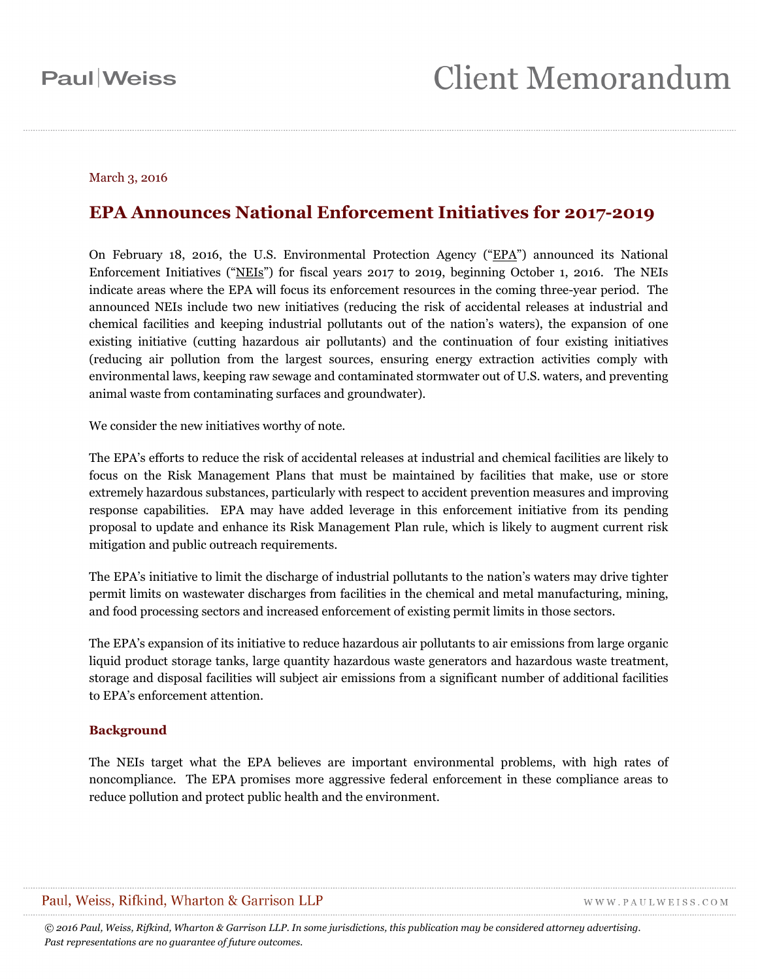#### March 3, 2016

### **EPA Announces National Enforcement Initiatives for 2017-2019**

On February 18, 2016, the U.S. Environmental Protection Agency ("EPA") announced its National Enforcement Initiatives ("NEIs") for fiscal years 2017 to 2019, beginning October 1, 2016. The NEIs indicate areas where the EPA will focus its enforcement resources in the coming three-year period. The announced NEIs include two new initiatives (reducing the risk of accidental releases at industrial and chemical facilities and keeping industrial pollutants out of the nation's waters), the expansion of one existing initiative (cutting hazardous air pollutants) and the continuation of four existing initiatives (reducing air pollution from the largest sources, ensuring energy extraction activities comply with environmental laws, keeping raw sewage and contaminated stormwater out of U.S. waters, and preventing animal waste from contaminating surfaces and groundwater).

We consider the new initiatives worthy of note.

The EPA's efforts to reduce the risk of accidental releases at industrial and chemical facilities are likely to focus on the Risk Management Plans that must be maintained by facilities that make, use or store extremely hazardous substances, particularly with respect to accident prevention measures and improving response capabilities. EPA may have added leverage in this enforcement initiative from its pending proposal to update and enhance its Risk Management Plan rule, which is likely to augment current risk mitigation and public outreach requirements.

The EPA's initiative to limit the discharge of industrial pollutants to the nation's waters may drive tighter permit limits on wastewater discharges from facilities in the chemical and metal manufacturing, mining, and food processing sectors and increased enforcement of existing permit limits in those sectors.

The EPA's expansion of its initiative to reduce hazardous air pollutants to air emissions from large organic liquid product storage tanks, large quantity hazardous waste generators and hazardous waste treatment, storage and disposal facilities will subject air emissions from a significant number of additional facilities to EPA's enforcement attention.

#### **Background**

The NEIs target what the EPA believes are important environmental problems, with high rates of noncompliance. The EPA promises more aggressive federal enforcement in these compliance areas to reduce pollution and protect public health and the environment.

#### Paul, Weiss, Rifkind, Wharton & Garrison LLP

WWW.PAULWEISS.COM

*© 2016 Paul, Weiss, Rifkind, Wharton & Garrison LLP. In some jurisdictions, this publication may be considered attorney advertising. Past representations are no guarantee of future outcomes.*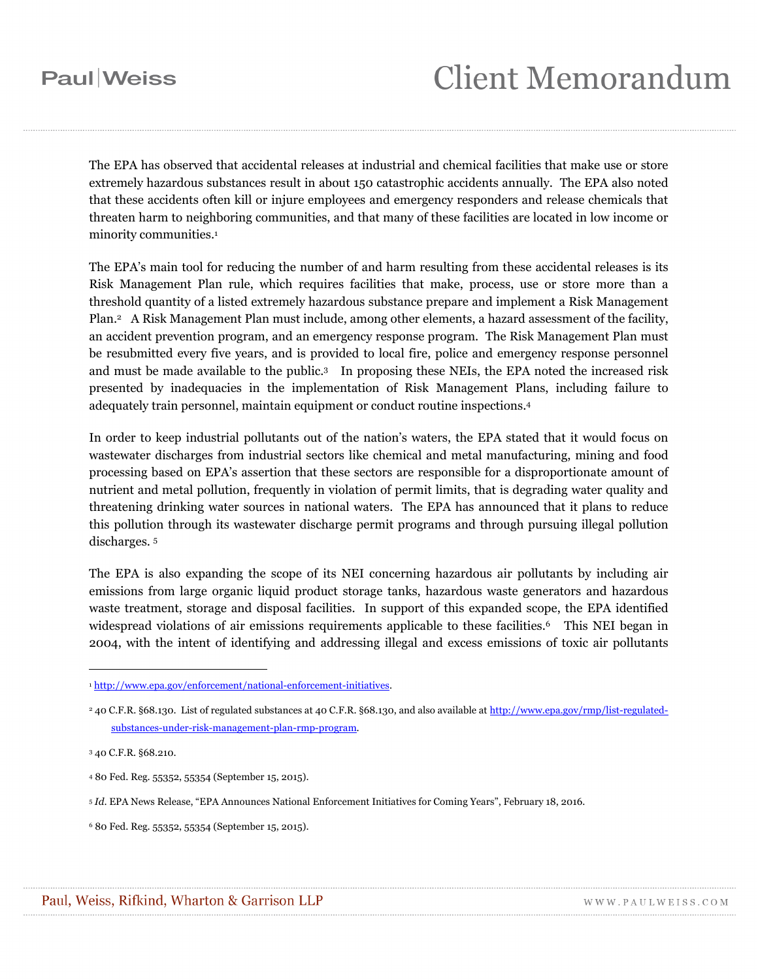## **Paul**Weiss

# **Client Memorandum**

The EPA has observed that accidental releases at industrial and chemical facilities that make use or store extremely hazardous substances result in about 150 catastrophic accidents annually. The EPA also noted that these accidents often kill or injure employees and emergency responders and release chemicals that threaten harm to neighboring communities, and that many of these facilities are located in low income or minority communities.<sup>1</sup>

The EPA's main tool for reducing the number of and harm resulting from these accidental releases is its Risk Management Plan rule, which requires facilities that make, process, use or store more than a threshold quantity of a listed extremely hazardous substance prepare and implement a Risk Management Plan.2 A Risk Management Plan must include, among other elements, a hazard assessment of the facility, an accident prevention program, and an emergency response program. The Risk Management Plan must be resubmitted every five years, and is provided to local fire, police and emergency response personnel and must be made available to the public.3 In proposing these NEIs, the EPA noted the increased risk presented by inadequacies in the implementation of Risk Management Plans, including failure to adequately train personnel, maintain equipment or conduct routine inspections.4

In order to keep industrial pollutants out of the nation's waters, the EPA stated that it would focus on wastewater discharges from industrial sectors like chemical and metal manufacturing, mining and food processing based on EPA's assertion that these sectors are responsible for a disproportionate amount of nutrient and metal pollution, frequently in violation of permit limits, that is degrading water quality and threatening drinking water sources in national waters. The EPA has announced that it plans to reduce this pollution through its wastewater discharge permit programs and through pursuing illegal pollution discharges. 5

The EPA is also expanding the scope of its NEI concerning hazardous air pollutants by including air emissions from large organic liquid product storage tanks, hazardous waste generators and hazardous waste treatment, storage and disposal facilities. In support of this expanded scope, the EPA identified widespread violations of air emissions requirements applicable to these facilities.<sup>6</sup> This NEI began in 2004, with the intent of identifying and addressing illegal and excess emissions of toxic air pollutants

 $\overline{a}$ 

<sup>1</sup> http://www.epa.gov/enforcement/national-enforcement-initiatives.

<sup>2 40</sup> C.F.R. §68.130. List of regulated substances at 40 C.F.R. §68.130, and also available at http://www.epa.gov/rmp/list-regulatedsubstances-under-risk-management-plan-rmp-program.

<sup>3 40</sup> C.F.R. §68.210.

<sup>4 80</sup> Fed. Reg. 55352, 55354 (September 15, 2015).

<sup>5</sup> *Id*. EPA News Release, "EPA Announces National Enforcement Initiatives for Coming Years", February 18, 2016.

<sup>6 80</sup> Fed. Reg. 55352, 55354 (September 15, 2015).